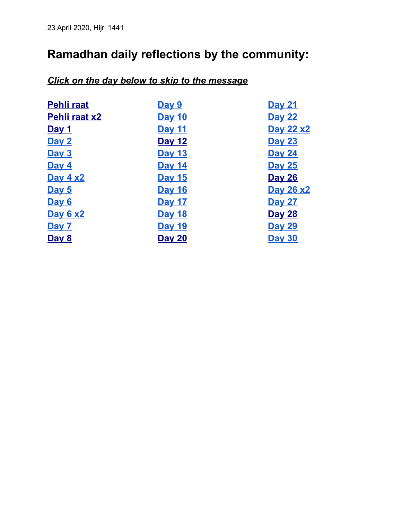# <span id="page-0-0"></span>**Ramadhan daily reflections by the community:**

# *Click on the day below to skip to the message*

| <b>Pehli raat</b>    | Day 9         | <b>Day 21</b> |
|----------------------|---------------|---------------|
|                      |               |               |
| <b>Pehli raat x2</b> | <b>Day 10</b> | <b>Day 22</b> |
| <u>Day 1</u>         | <b>Day 11</b> | Day 22 x2     |
| Day 2                | <b>Day 12</b> | <b>Day 23</b> |
| Day 3                | <b>Day 13</b> | <b>Day 24</b> |
| Day 4                | <b>Day 14</b> | <b>Day 25</b> |
| <b>Day 4 x2</b>      | <b>Day 15</b> | <b>Day 26</b> |
| Day 5                | <b>Day 16</b> | Day 26 x2     |
| Day 6                | <b>Day 17</b> | <b>Day 27</b> |
| <b>Day 6 x2</b>      | <b>Day 18</b> | <b>Day 28</b> |
| Day 7                | <b>Day 19</b> | <b>Day 29</b> |
| Day 8                | <b>Day 20</b> | <b>Day 30</b> |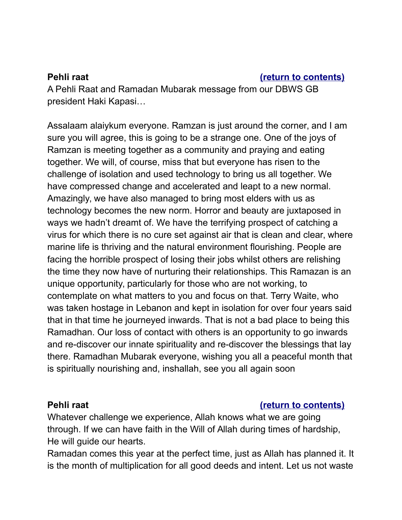### <span id="page-1-0"></span>**Pehli raat Pehli raat [\(return to contents\)](#page-0-0)**

A Pehli Raat and Ramadan Mubarak message from our DBWS GB president Haki Kapasi…

Assalaam alaiykum everyone. Ramzan is just around the corner, and I am sure you will agree, this is going to be a strange one. One of the joys of Ramzan is meeting together as a community and praying and eating together. We will, of course, miss that but everyone has risen to the challenge of isolation and used technology to bring us all together. We have compressed change and accelerated and leapt to a new normal. Amazingly, we have also managed to bring most elders with us as technology becomes the new norm. Horror and beauty are juxtaposed in ways we hadn't dreamt of. We have the terrifying prospect of catching a virus for which there is no cure set against air that is clean and clear, where marine life is thriving and the natural environment flourishing. People are facing the horrible prospect of losing their jobs whilst others are relishing the time they now have of nurturing their relationships. This Ramazan is an unique opportunity, particularly for those who are not working, to contemplate on what matters to you and focus on that. Terry Waite, who was taken hostage in Lebanon and kept in isolation for over four years said that in that time he journeyed inwards. That is not a bad place to being this Ramadhan. Our loss of contact with others is an opportunity to go inwards and re-discover our innate spirituality and re-discover the blessings that lay there. Ramadhan Mubarak everyone, wishing you all a peaceful month that is spiritually nourishing and, inshallah, see you all again soon

# <span id="page-1-1"></span>**Pehli raat Pehli raat [\(return to contents\)](#page-0-0)**

Whatever challenge we experience, Allah knows what we are going through. If we can have faith in the Will of Allah during times of hardship, He will guide our hearts.

Ramadan comes this year at the perfect time, just as Allah has planned it. It is the month of multiplication for all good deeds and intent. Let us not waste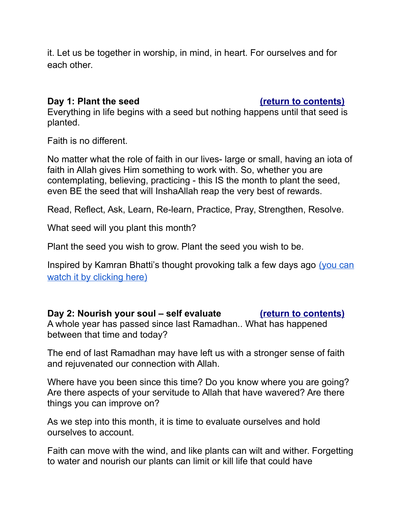it. Let us be together in worship, in mind, in heart. For ourselves and for each other.

### <span id="page-2-0"></span>**Day 1: Plant the seed [\(return to contents\)](#page-0-0)**

Everything in life begins with a seed but nothing happens until that seed is planted.

Faith is no different.

No matter what the role of faith in our lives- large or small, having an iota of faith in Allah gives Him something to work with. So, whether you are contemplating, believing, practicing - this IS the month to plant the seed, even BE the seed that will InshaAllah reap the very best of rewards.

Read, Reflect, Ask, Learn, Re-learn, Practice, Pray, Strengthen, Resolve.

What seed will you plant this month?

Plant the seed you wish to grow. Plant the seed you wish to be.

Inspired by Kamran Bhatti's thought provoking talk a few days ago [\(you can](https://www.facebook.com/1789293191138557/videos/1637331026443934/) [watch it by clicking here\)](https://www.facebook.com/1789293191138557/videos/1637331026443934/)

# <span id="page-2-1"></span>Day 2: Nourish your soul – self evaluate *[\(return to contents\)](#page-0-0)*

A whole year has passed since last Ramadhan.. What has happened between that time and today?

The end of last Ramadhan may have left us with a stronger sense of faith and rejuvenated our connection with Allah.

Where have you been since this time? Do you know where you are going? Are there aspects of your servitude to Allah that have wavered? Are there things you can improve on?

As we step into this month, it is time to evaluate ourselves and hold ourselves to account.

Faith can move with the wind, and like plants can wilt and wither. Forgetting to water and nourish our plants can limit or kill life that could have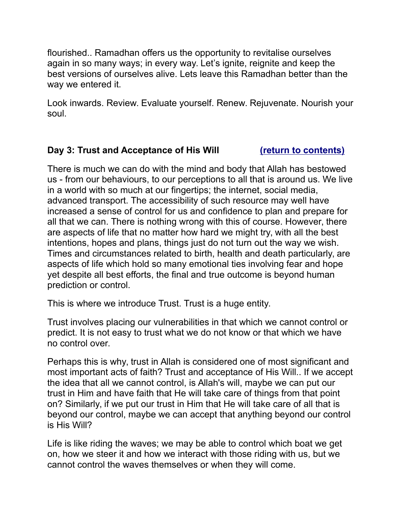flourished.. Ramadhan offers us the opportunity to revitalise ourselves again in so many ways; in every way. Let's ignite, reignite and keep the best versions of ourselves alive. Lets leave this Ramadhan better than the way we entered it.

Look inwards. Review. Evaluate yourself. Renew. Rejuvenate. Nourish your soul.

### <span id="page-3-0"></span>**Day 3: Trust and Acceptance of His Will [\(return to contents\)](#page-0-0)**

There is much we can do with the mind and body that Allah has bestowed us - from our behaviours, to our perceptions to all that is around us. We live in a world with so much at our fingertips; the internet, social media, advanced transport. The accessibility of such resource may well have increased a sense of control for us and confidence to plan and prepare for all that we can. There is nothing wrong with this of course. However, there are aspects of life that no matter how hard we might try, with all the best intentions, hopes and plans, things just do not turn out the way we wish. Times and circumstances related to birth, health and death particularly, are aspects of life which hold so many emotional ties involving fear and hope yet despite all best efforts, the final and true outcome is beyond human prediction or control.

This is where we introduce Trust. Trust is a huge entity.

Trust involves placing our vulnerabilities in that which we cannot control or predict. It is not easy to trust what we do not know or that which we have no control over.

Perhaps this is why, trust in Allah is considered one of most significant and most important acts of faith? Trust and acceptance of His Will.. If we accept the idea that all we cannot control, is Allah's will, maybe we can put our trust in Him and have faith that He will take care of things from that point on? Similarly, if we put our trust in Him that He will take care of all that is beyond our control, maybe we can accept that anything beyond our control is His Will?

Life is like riding the waves; we may be able to control which boat we get on, how we steer it and how we interact with those riding with us, but we cannot control the waves themselves or when they will come.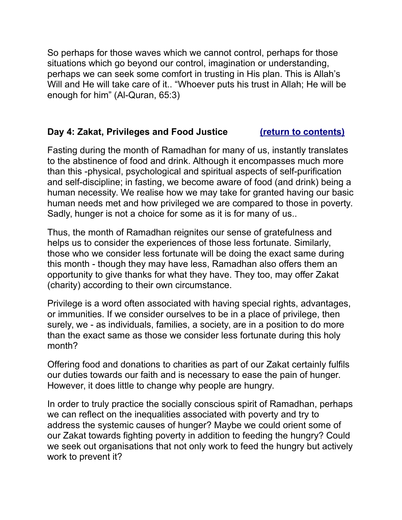So perhaps for those waves which we cannot control, perhaps for those situations which go beyond our control, imagination or understanding, perhaps we can seek some comfort in trusting in His plan. This is Allah's Will and He will take care of it.. "Whoever puts his trust in Allah; He will be enough for him" (Al-Quran, 65:3)

# <span id="page-4-0"></span>**Day 4: Zakat, Privileges and Food Justice [\(return to contents\)](#page-0-0)**

Fasting during the month of Ramadhan for many of us, instantly translates to the abstinence of food and drink. Although it encompasses much more than this -physical, psychological and spiritual aspects of self-purification and self-discipline; in fasting, we become aware of food (and drink) being a human necessity. We realise how we may take for granted having our basic human needs met and how privileged we are compared to those in poverty. Sadly, hunger is not a choice for some as it is for many of us..

Thus, the month of Ramadhan reignites our sense of gratefulness and helps us to consider the experiences of those less fortunate. Similarly, those who we consider less fortunate will be doing the exact same during this month - though they may have less, Ramadhan also offers them an opportunity to give thanks for what they have. They too, may offer Zakat (charity) according to their own circumstance.

Privilege is a word often associated with having special rights, advantages, or immunities. If we consider ourselves to be in a place of privilege, then surely, we - as individuals, families, a society, are in a position to do more than the exact same as those we consider less fortunate during this holy month?

Offering food and donations to charities as part of our Zakat certainly fulfils our duties towards our faith and is necessary to ease the pain of hunger. However, it does little to change why people are hungry.

In order to truly practice the socially conscious spirit of Ramadhan, perhaps we can reflect on the inequalities associated with poverty and try to address the systemic causes of hunger? Maybe we could orient some of our Zakat towards fighting poverty in addition to feeding the hungry? Could we seek out organisations that not only work to feed the hungry but actively work to prevent it?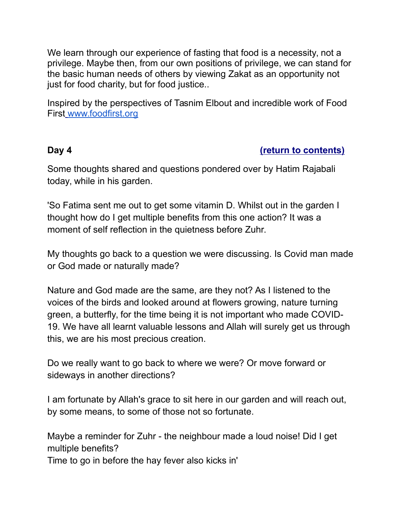We learn through our experience of fasting that food is a necessity, not a privilege. Maybe then, from our own positions of privilege, we can stand for the basic human needs of others by viewing Zakat as an opportunity not just for food charity, but for food justice..

Inspired by the perspectives of Tasnim Elbout and incredible work of Food First [www.foodfirst.org](http://www.foodfirst.org/)

### <span id="page-5-0"></span>**Day 4 [\(return to contents\)](#page-0-0)**

Some thoughts shared and questions pondered over by Hatim Rajabali today, while in his garden.

'So Fatima sent me out to get some vitamin D. Whilst out in the garden I thought how do I get multiple benefits from this one action? It was a moment of self reflection in the quietness before Zuhr.

My thoughts go back to a question we were discussing. Is Covid man made or God made or naturally made?

Nature and God made are the same, are they not? As I listened to the voices of the birds and looked around at flowers growing, nature turning green, a butterfly, for the time being it is not important who made COVID-19. We have all learnt valuable lessons and Allah will surely get us through this, we are his most precious creation.

Do we really want to go back to where we were? Or move forward or sideways in another directions?

I am fortunate by Allah's grace to sit here in our garden and will reach out, by some means, to some of those not so fortunate.

Maybe a reminder for Zuhr - the neighbour made a loud noise! Did I get multiple benefits?

Time to go in before the hay fever also kicks in'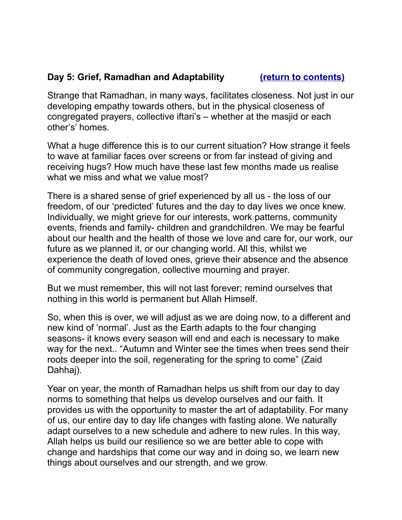# <span id="page-6-0"></span>**Day 5: Grief, Ramadhan and Adaptability [\(return to contents\)](#page-0-0)**

Strange that Ramadhan, in many ways, facilitates closeness. Not just in our developing empathy towards others, but in the physical closeness of congregated prayers, collective iftari's – whether at the masjid or each other's' homes.

What a huge difference this is to our current situation? How strange it feels to wave at familiar faces over screens or from far instead of giving and receiving hugs? How much have these last few months made us realise what we miss and what we value most?

There is a shared sense of grief experienced by all us - the loss of our freedom, of our 'predicted' futures and the day to day lives we once knew. Individually, we might grieve for our interests, work patterns, community events, friends and family- children and grandchildren. We may be fearful about our health and the health of those we love and care for, our work, our future as we planned it, or our changing world. All this, whilst we experience the death of loved ones, grieve their absence and the absence of community congregation, collective mourning and prayer.

But we must remember, this will not last forever; remind ourselves that nothing in this world is permanent but Allah Himself.

So, when this is over, we will adjust as we are doing now, to a different and new kind of 'normal'. Just as the Earth adapts to the four changing seasons- it knows every season will end and each is necessary to make way for the next.. "Autumn and Winter see the times when trees send their roots deeper into the soil, regenerating for the spring to come" (Zaid Dahhaj).

Year on year, the month of Ramadhan helps us shift from our day to day norms to something that helps us develop ourselves and our faith. It provides us with the opportunity to master the art of adaptability. For many of us, our entire day to day life changes with fasting alone. We naturally adapt ourselves to a new schedule and adhere to new rules. In this way, Allah helps us build our resilience so we are better able to cope with change and hardships that come our way and in doing so, we learn new things about ourselves and our strength, and we grow.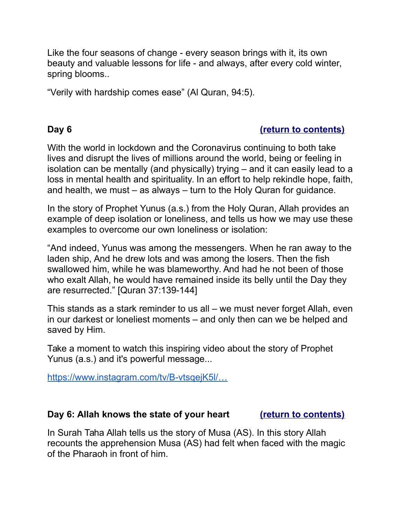Like the four seasons of change - every season brings with it, its own beauty and valuable lessons for life - and always, after every cold winter, spring blooms..

<span id="page-7-1"></span>"Verily with hardship comes ease" (Al Quran, 94:5).

## **Day 6 [\(return to contents\)](#page-0-0)**

With the world in lockdown and the Coronavirus continuing to both take lives and disrupt the lives of millions around the world, being or feeling in isolation can be mentally (and physically) trying – and it can easily lead to a loss in mental health and spirituality. In an effort to help rekindle hope, faith, and health, we must – as always – turn to the Holy Quran for guidance.

In the story of Prophet Yunus (a.s.) from the Holy Quran, Allah provides an example of deep isolation or loneliness, and tells us how we may use these examples to overcome our own loneliness or isolation:

"And indeed, Yunus was among the messengers. When he ran away to the laden ship, And he drew lots and was among the losers. Then the fish swallowed him, while he was blameworthy. And had he not been of those who exalt Allah, he would have remained inside its belly until the Day they are resurrected." [Quran 37:139-144]

This stands as a stark reminder to us all – we must never forget Allah, even in our darkest or loneliest moments – and only then can we be helped and saved by Him.

Take a moment to watch this inspiring video about the story of Prophet Yunus (a.s.) and it's powerful message...

<span id="page-7-0"></span>[https://www.instagram.com/tv/B-vtsqejK5l/…](https://www.instagram.com/tv/B-vtsqejK5l/?utm_source=ig_web_button_share_sheet)

### **Day 6: Allah knows the state of your heart [\(return to contents\)](#page-0-0)**

In Surah Taha Allah tells us the story of Musa (AS). In this story Allah recounts the apprehension Musa (AS) had felt when faced with the magic of the Pharaoh in front of him.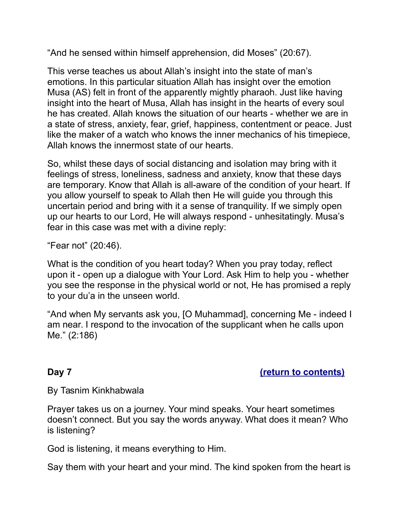"And he sensed within himself apprehension, did Moses" (20:67).

This verse teaches us about Allah's insight into the state of man's emotions. In this particular situation Allah has insight over the emotion Musa (AS) felt in front of the apparently mightly pharaoh. Just like having insight into the heart of Musa, Allah has insight in the hearts of every soul he has created. Allah knows the situation of our hearts - whether we are in a state of stress, anxiety, fear, grief, happiness, contentment or peace. Just like the maker of a watch who knows the inner mechanics of his timepiece, Allah knows the innermost state of our hearts.

So, whilst these days of social distancing and isolation may bring with it feelings of stress, loneliness, sadness and anxiety, know that these days are temporary. Know that Allah is all-aware of the condition of your heart. If you allow yourself to speak to Allah then He will guide you through this uncertain period and bring with it a sense of tranquility. If we simply open up our hearts to our Lord, He will always respond - unhesitatingly. Musa's fear in this case was met with a divine reply:

"Fear not" (20:46).

What is the condition of you heart today? When you pray today, reflect upon it - open up a dialogue with Your Lord. Ask Him to help you - whether you see the response in the physical world or not, He has promised a reply to your du'a in the unseen world.

"And when My servants ask you, [O Muhammad], concerning Me - indeed I am near. I respond to the invocation of the supplicant when he calls upon Me." (2:186)

### <span id="page-8-0"></span>**Day 7 [\(return to contents\)](#page-0-0)**

### By Tasnim Kinkhabwala

Prayer takes us on a journey. Your mind speaks. Your heart sometimes doesn't connect. But you say the words anyway. What does it mean? Who is listening?

God is listening, it means everything to Him.

Say them with your heart and your mind. The kind spoken from the heart is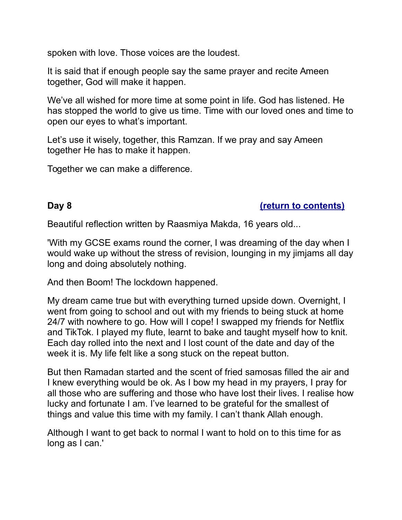spoken with love. Those voices are the loudest.

It is said that if enough people say the same prayer and recite Ameen together, God will make it happen.

We've all wished for more time at some point in life. God has listened. He has stopped the world to give us time. Time with our loved ones and time to open our eyes to what's important.

Let's use it wisely, together, this Ramzan. If we pray and say Ameen together He has to make it happen.

<span id="page-9-0"></span>Together we can make a difference.

### **Day 8 [\(return to contents\)](#page-0-0)**

Beautiful reflection written by Raasmiya Makda, 16 years old...

'With my GCSE exams round the corner, I was dreaming of the day when I would wake up without the stress of revision, lounging in my jimjams all day long and doing absolutely nothing.

And then Boom! The lockdown happened.

My dream came true but with everything turned upside down. Overnight, I went from going to school and out with my friends to being stuck at home 24/7 with nowhere to go. How will I cope! I swapped my friends for Netflix and TikTok. I played my flute, learnt to bake and taught myself how to knit. Each day rolled into the next and I lost count of the date and day of the week it is. My life felt like a song stuck on the repeat button.

But then Ramadan started and the scent of fried samosas filled the air and I knew everything would be ok. As I bow my head in my prayers, I pray for all those who are suffering and those who have lost their lives. I realise how lucky and fortunate I am. I've learned to be grateful for the smallest of things and value this time with my family. I can't thank Allah enough.

<span id="page-9-1"></span>Although I want to get back to normal I want to hold on to this time for as long as I can.'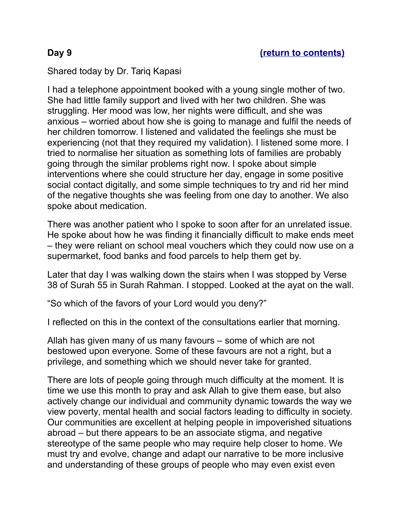### Shared today by Dr. Tariq Kapasi

I had a telephone appointment booked with a young single mother of two. She had little family support and lived with her two children. She was struggling. Her mood was low, her nights were difficult, and she was anxious – worried about how she is going to manage and fulfil the needs of her children tomorrow. I listened and validated the feelings she must be experiencing (not that they required my validation). I listened some more. I tried to normalise her situation as something lots of families are probably going through the similar problems right now. I spoke about simple interventions where she could structure her day, engage in some positive social contact digitally, and some simple techniques to try and rid her mind of the negative thoughts she was feeling from one day to another. We also spoke about medication.

There was another patient who I spoke to soon after for an unrelated issue. He spoke about how he was finding it financially difficult to make ends meet – they were reliant on school meal vouchers which they could now use on a supermarket, food banks and food parcels to help them get by.

Later that day I was walking down the stairs when I was stopped by Verse 38 of Surah 55 in Surah Rahman. I stopped. Looked at the ayat on the wall.

"So which of the favors of your Lord would you deny?"

I reflected on this in the context of the consultations earlier that morning.

Allah has given many of us many favours – some of which are not bestowed upon everyone. Some of these favours are not a right, but a privilege, and something which we should never take for granted.

There are lots of people going through much difficulty at the moment. It is time we use this month to pray and ask Allah to give them ease, but also actively change our individual and community dynamic towards the way we view poverty, mental health and social factors leading to difficulty in society. Our communities are excellent at helping people in impoverished situations abroad – but there appears to be an associate stigma, and negative stereotype of the same people who may require help closer to home. We must try and evolve, change and adapt our narrative to be more inclusive and understanding of these groups of people who may even exist even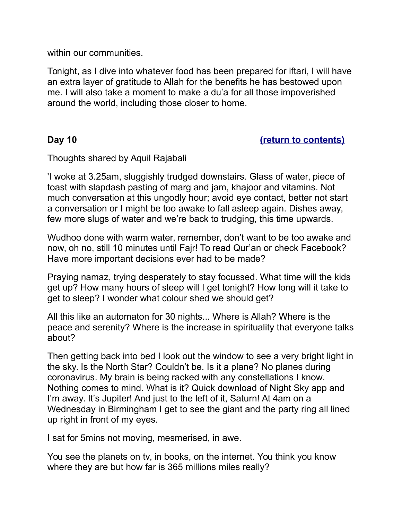within our communities.

Tonight, as I dive into whatever food has been prepared for iftari, I will have an extra layer of gratitude to Allah for the benefits he has bestowed upon me. I will also take a moment to make a du'a for all those impoverished around the world, including those closer to home.

### <span id="page-11-0"></span>**Day 10 [\(return to contents\)](#page-0-0)**

Thoughts shared by Aquil Rajabali

'I woke at 3.25am, sluggishly trudged downstairs. Glass of water, piece of toast with slapdash pasting of marg and jam, khajoor and vitamins. Not much conversation at this ungodly hour; avoid eye contact, better not start a conversation or I might be too awake to fall asleep again. Dishes away, few more slugs of water and we're back to trudging, this time upwards.

Wudhoo done with warm water, remember, don't want to be too awake and now, oh no, still 10 minutes until Fajr! To read Qur'an or check Facebook? Have more important decisions ever had to be made?

Praying namaz, trying desperately to stay focussed. What time will the kids get up? How many hours of sleep will I get tonight? How long will it take to get to sleep? I wonder what colour shed we should get?

All this like an automaton for 30 nights... Where is Allah? Where is the peace and serenity? Where is the increase in spirituality that everyone talks about?

Then getting back into bed I look out the window to see a very bright light in the sky. Is the North Star? Couldn't be. Is it a plane? No planes during coronavirus. My brain is being racked with any constellations I know. Nothing comes to mind. What is it? Quick download of Night Sky app and I'm away. It's Jupiter! And just to the left of it, Saturn! At 4am on a Wednesday in Birmingham I get to see the giant and the party ring all lined up right in front of my eyes.

I sat for 5mins not moving, mesmerised, in awe.

You see the planets on tv, in books, on the internet. You think you know where they are but how far is 365 millions miles really?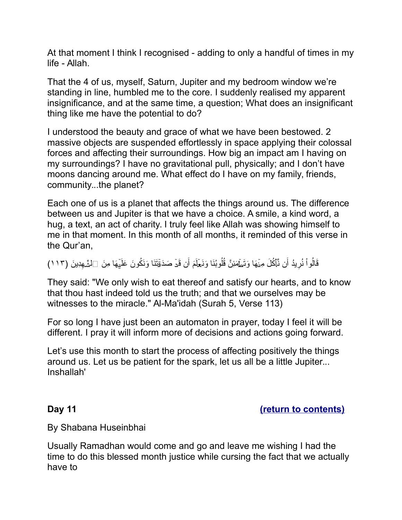At that moment I think I recognised - adding to only a handful of times in my life - Allah.

That the 4 of us, myself, Saturn, Jupiter and my bedroom window we're standing in line, humbled me to the core. I suddenly realised my apparent insignificance, and at the same time, a question; What does an insignificant thing like me have the potential to do?

I understood the beauty and grace of what we have been bestowed. 2 massive objects are suspended effortlessly in space applying their colossal forces and affecting their surroundings. How big an impact am I having on my surroundings? I have no gravitational pull, physically; and I don't have moons dancing around me. What effect do I have on my family, friends, community...the planet?

Each one of us is a planet that affects the things around us. The difference between us and Jupiter is that we have a choice. A smile, a kind word, a hug, a text, an act of charity. I truly feel like Allah was showing himself to me in that moment. In this month of all months, it reminded of this verse in the Qur'an,

قَالُواْ نُرِيدُ أَن نَّأَكُلَ مِنْهَا وَتَطَهَّئِنَّ قُلُوبُنَا وَنَعَلَمَ أَن قَدْ صَدَقْتَنَا وَنَكُونَ عَلَيْهَا مِنَ  $\Box$ لْشَّهِدِينَ (١١٣)

They said: "We only wish to eat thereof and satisfy our hearts, and to know that thou hast indeed told us the truth; and that we ourselves may be witnesses to the miracle." Al-Ma'idah (Surah 5, Verse 113)

For so long I have just been an automaton in prayer, today I feel it will be different. I pray it will inform more of decisions and actions going forward.

Let's use this month to start the process of affecting positively the things around us. Let us be patient for the spark, let us all be a little Jupiter... Inshallah'

<span id="page-12-0"></span>**Day 11** *CONTERNATE CONTENTS CONTENTS CONTENTS CONTENTS* 

By Shabana Huseinbhai

Usually Ramadhan would come and go and leave me wishing I had the time to do this blessed month justice while cursing the fact that we actually have to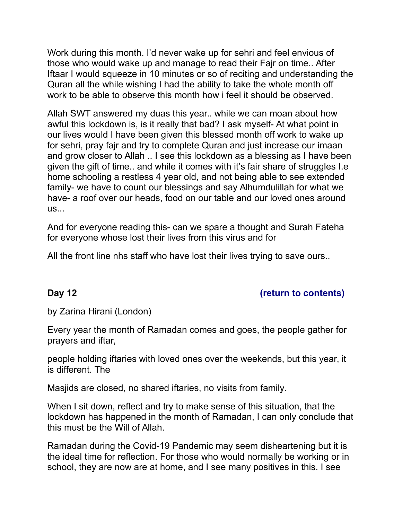Work during this month. I'd never wake up for sehri and feel envious of those who would wake up and manage to read their Fajr on time.. After Iftaar I would squeeze in 10 minutes or so of reciting and understanding the Quran all the while wishing I had the ability to take the whole month off work to be able to observe this month how i feel it should be observed.

Allah SWT answered my duas this year.. while we can moan about how awful this lockdown is, is it really that bad? I ask myself- At what point in our lives would I have been given this blessed month off work to wake up for sehri, pray fajr and try to complete Quran and just increase our imaan and grow closer to Allah .. I see this lockdown as a blessing as I have been given the gift of time.. and while it comes with it's fair share of struggles I.e home schooling a restless 4 year old, and not being able to see extended family- we have to count our blessings and say Alhumdulillah for what we have- a roof over our heads, food on our table and our loved ones around us...

And for everyone reading this- can we spare a thought and Surah Fateha for everyone whose lost their lives from this virus and for

<span id="page-13-0"></span>All the front line nhs staff who have lost their lives trying to save ours..

### **Day 12 [\(return to contents\)](#page-0-0)**

by Zarina Hirani (London)

Every year the month of Ramadan comes and goes, the people gather for prayers and iftar,

people holding iftaries with loved ones over the weekends, but this year, it is different. The

Masjids are closed, no shared iftaries, no visits from family.

When I sit down, reflect and try to make sense of this situation, that the lockdown has happened in the month of Ramadan, I can only conclude that this must be the Will of Allah.

Ramadan during the Covid-19 Pandemic may seem disheartening but it is the ideal time for reflection. For those who would normally be working or in school, they are now are at home, and I see many positives in this. I see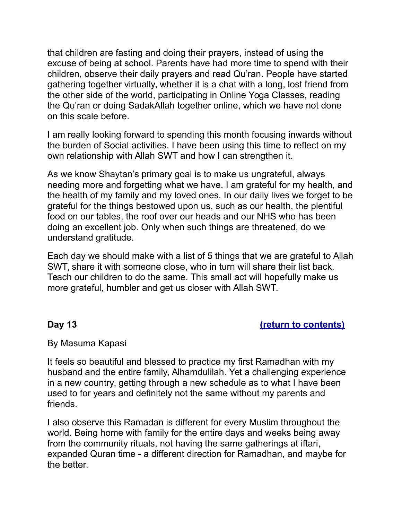that children are fasting and doing their prayers, instead of using the excuse of being at school. Parents have had more time to spend with their children, observe their daily prayers and read Qu'ran. People have started gathering together virtually, whether it is a chat with a long, lost friend from the other side of the world, participating in Online Yoga Classes, reading the Qu'ran or doing SadakAllah together online, which we have not done on this scale before.

I am really looking forward to spending this month focusing inwards without the burden of Social activities. I have been using this time to reflect on my own relationship with Allah SWT and how I can strengthen it.

As we know Shaytan's primary goal is to make us ungrateful, always needing more and forgetting what we have. I am grateful for my health, and the health of my family and my loved ones. In our daily lives we forget to be grateful for the things bestowed upon us, such as our health, the plentiful food on our tables, the roof over our heads and our NHS who has been doing an excellent job. Only when such things are threatened, do we understand gratitude.

Each day we should make with a list of 5 things that we are grateful to Allah SWT, share it with someone close, who in turn will share their list back. Teach our children to do the same. This small act will hopefully make us more grateful, humbler and get us closer with Allah SWT.

### <span id="page-14-0"></span>**Day 13** *[\(return to contents\)](#page-0-0)*

### By Masuma Kapasi

It feels so beautiful and blessed to practice my first Ramadhan with my husband and the entire family, Alhamdulilah. Yet a challenging experience in a new country, getting through a new schedule as to what I have been used to for years and definitely not the same without my parents and friends.

I also observe this Ramadan is different for every Muslim throughout the world. Being home with family for the entire days and weeks being away from the community rituals, not having the same gatherings at iftari, expanded Quran time - a different direction for Ramadhan, and maybe for the better.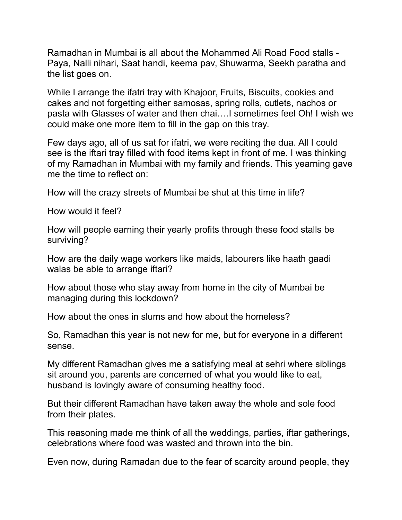Ramadhan in Mumbai is all about the Mohammed Ali Road Food stalls - Paya, Nalli nihari, Saat handi, keema pav, Shuwarma, Seekh paratha and the list goes on.

While I arrange the ifatri tray with Khajoor, Fruits, Biscuits, cookies and cakes and not forgetting either samosas, spring rolls, cutlets, nachos or pasta with Glasses of water and then chai….I sometimes feel Oh! I wish we could make one more item to fill in the gap on this tray.

Few days ago, all of us sat for ifatri, we were reciting the dua. All I could see is the iftari tray filled with food items kept in front of me. I was thinking of my Ramadhan in Mumbai with my family and friends. This yearning gave me the time to reflect on:

How will the crazy streets of Mumbai be shut at this time in life?

How would it feel?

How will people earning their yearly profits through these food stalls be surviving?

How are the daily wage workers like maids, labourers like haath gaadi walas be able to arrange iftari?

How about those who stay away from home in the city of Mumbai be managing during this lockdown?

How about the ones in slums and how about the homeless?

So, Ramadhan this year is not new for me, but for everyone in a different sense.

My different Ramadhan gives me a satisfying meal at sehri where siblings sit around you, parents are concerned of what you would like to eat, husband is lovingly aware of consuming healthy food.

But their different Ramadhan have taken away the whole and sole food from their plates.

This reasoning made me think of all the weddings, parties, iftar gatherings, celebrations where food was wasted and thrown into the bin.

Even now, during Ramadan due to the fear of scarcity around people, they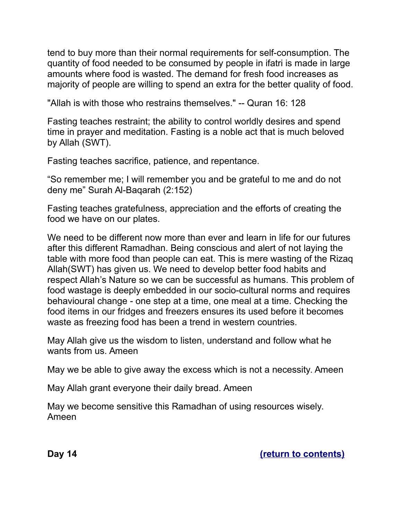tend to buy more than their normal requirements for self-consumption. The quantity of food needed to be consumed by people in ifatri is made in large amounts where food is wasted. The demand for fresh food increases as majority of people are willing to spend an extra for the better quality of food.

"Allah is with those who restrains themselves." -- Quran 16: 128

Fasting teaches restraint; the ability to control worldly desires and spend time in prayer and meditation. Fasting is a noble act that is much beloved by Allah (SWT).

Fasting teaches sacrifice, patience, and repentance.

"So remember me; I will remember you and be grateful to me and do not deny me" Surah Al-Baqarah (2:152)

Fasting teaches gratefulness, appreciation and the efforts of creating the food we have on our plates.

We need to be different now more than ever and learn in life for our futures after this different Ramadhan. Being conscious and alert of not laying the table with more food than people can eat. This is mere wasting of the Rizaq Allah(SWT) has given us. We need to develop better food habits and respect Allah's Nature so we can be successful as humans. This problem of food wastage is deeply embedded in our socio-cultural norms and requires behavioural change - one step at a time, one meal at a time. Checking the food items in our fridges and freezers ensures its used before it becomes waste as freezing food has been a trend in western countries.

May Allah give us the wisdom to listen, understand and follow what he wants from us. Ameen

May we be able to give away the excess which is not a necessity. Ameen

May Allah grant everyone their daily bread. Ameen

<span id="page-16-0"></span>May we become sensitive this Ramadhan of using resources wisely. Ameen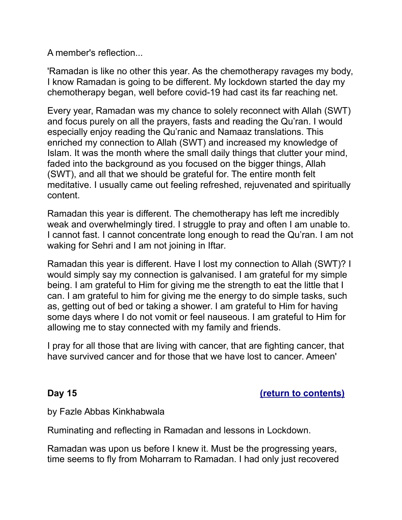A member's reflection...

'Ramadan is like no other this year. As the chemotherapy ravages my body, I know Ramadan is going to be different. My lockdown started the day my chemotherapy began, well before covid-19 had cast its far reaching net.

Every year, Ramadan was my chance to solely reconnect with Allah (SWT) and focus purely on all the prayers, fasts and reading the Qu'ran. I would especially enjoy reading the Qu'ranic and Namaaz translations. This enriched my connection to Allah (SWT) and increased my knowledge of Islam. It was the month where the small daily things that clutter your mind, faded into the background as you focused on the bigger things, Allah (SWT), and all that we should be grateful for. The entire month felt meditative. I usually came out feeling refreshed, rejuvenated and spiritually content.

Ramadan this year is different. The chemotherapy has left me incredibly weak and overwhelmingly tired. I struggle to pray and often I am unable to. I cannot fast. I cannot concentrate long enough to read the Qu'ran. I am not waking for Sehri and I am not joining in Iftar.

Ramadan this year is different. Have I lost my connection to Allah (SWT)? I would simply say my connection is galvanised. I am grateful for my simple being. I am grateful to Him for giving me the strength to eat the little that I can. I am grateful to him for giving me the energy to do simple tasks, such as, getting out of bed or taking a shower. I am grateful to Him for having some days where I do not vomit or feel nauseous. I am grateful to Him for allowing me to stay connected with my family and friends.

I pray for all those that are living with cancer, that are fighting cancer, that have survived cancer and for those that we have lost to cancer. Ameen'

<span id="page-17-0"></span>**Day 15 [\(return to contents\)](#page-0-0)**

by Fazle Abbas Kinkhabwala

Ruminating and reflecting in Ramadan and lessons in Lockdown.

Ramadan was upon us before I knew it. Must be the progressing years, time seems to fly from Moharram to Ramadan. I had only just recovered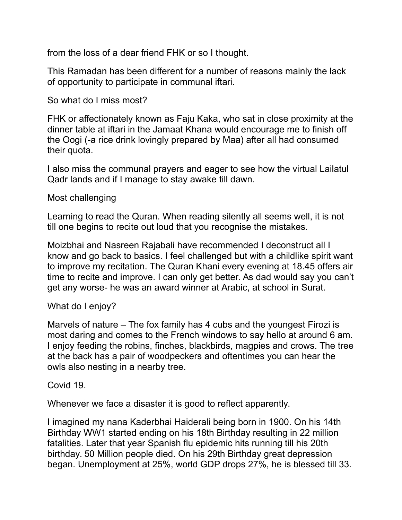from the loss of a dear friend FHK or so I thought.

This Ramadan has been different for a number of reasons mainly the lack of opportunity to participate in communal iftari.

So what do I miss most?

FHK or affectionately known as Faju Kaka, who sat in close proximity at the dinner table at iftari in the Jamaat Khana would encourage me to finish off the Oogi (-a rice drink lovingly prepared by Maa) after all had consumed their quota.

I also miss the communal prayers and eager to see how the virtual Lailatul Qadr lands and if I manage to stay awake till dawn.

Most challenging

Learning to read the Quran. When reading silently all seems well, it is not till one begins to recite out loud that you recognise the mistakes.

Moizbhai and Nasreen Rajabali have recommended I deconstruct all I know and go back to basics. I feel challenged but with a childlike spirit want to improve my recitation. The Quran Khani every evening at 18.45 offers air time to recite and improve. I can only get better. As dad would say you can't get any worse- he was an award winner at Arabic, at school in Surat.

# What do I enjoy?

Marvels of nature – The fox family has 4 cubs and the youngest Firozi is most daring and comes to the French windows to say hello at around 6 am. I enjoy feeding the robins, finches, blackbirds, magpies and crows. The tree at the back has a pair of woodpeckers and oftentimes you can hear the owls also nesting in a nearby tree.

Covid 19.

Whenever we face a disaster it is good to reflect apparently.

I imagined my nana Kaderbhai Haiderali being born in 1900. On his 14th Birthday WW1 started ending on his 18th Birthday resulting in 22 million fatalities. Later that year Spanish flu epidemic hits running till his 20th birthday. 50 Million people died. On his 29th Birthday great depression began. Unemployment at 25%, world GDP drops 27%, he is blessed till 33.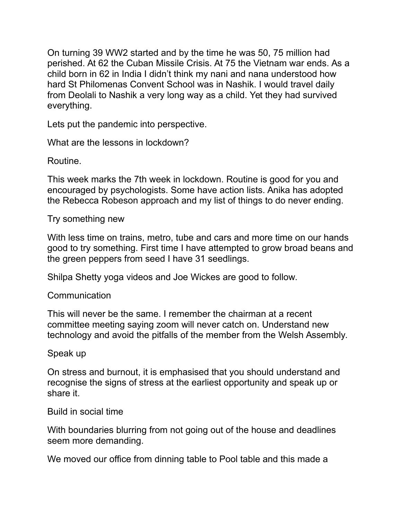On turning 39 WW2 started and by the time he was 50, 75 million had perished. At 62 the Cuban Missile Crisis. At 75 the Vietnam war ends. As a child born in 62 in India I didn't think my nani and nana understood how hard St Philomenas Convent School was in Nashik. I would travel daily from Deolali to Nashik a very long way as a child. Yet they had survived everything.

Lets put the pandemic into perspective.

What are the lessons in lockdown?

Routine.

This week marks the 7th week in lockdown. Routine is good for you and encouraged by psychologists. Some have action lists. Anika has adopted the Rebecca Robeson approach and my list of things to do never ending.

Try something new

With less time on trains, metro, tube and cars and more time on our hands good to try something. First time I have attempted to grow broad beans and the green peppers from seed I have 31 seedlings.

Shilpa Shetty yoga videos and Joe Wickes are good to follow.

**Communication** 

This will never be the same. I remember the chairman at a recent committee meeting saying zoom will never catch on. Understand new technology and avoid the pitfalls of the member from the Welsh Assembly.

### Speak up

On stress and burnout, it is emphasised that you should understand and recognise the signs of stress at the earliest opportunity and speak up or share it.

Build in social time

With boundaries blurring from not going out of the house and deadlines seem more demanding.

We moved our office from dinning table to Pool table and this made a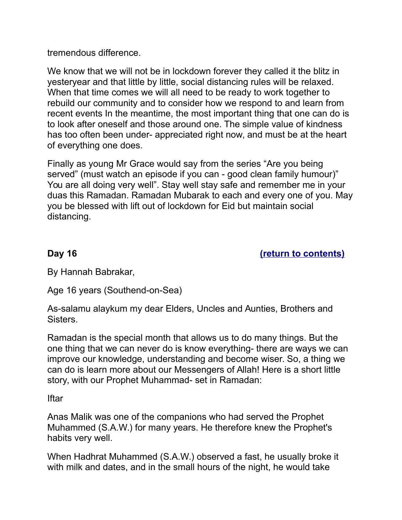tremendous difference.

We know that we will not be in lockdown forever they called it the blitz in yesteryear and that little by little, social distancing rules will be relaxed. When that time comes we will all need to be ready to work together to rebuild our community and to consider how we respond to and learn from recent events In the meantime, the most important thing that one can do is to look after oneself and those around one. The simple value of kindness has too often been under- appreciated right now, and must be at the heart of everything one does.

Finally as young Mr Grace would say from the series "Are you being served" (must watch an episode if you can - good clean family humour)" You are all doing very well". Stay well stay safe and remember me in your duas this Ramadan. Ramadan Mubarak to each and every one of you. May you be blessed with lift out of lockdown for Eid but maintain social distancing.

# <span id="page-20-0"></span>**Day 16 [\(return to contents\)](#page-0-0)**

By Hannah Babrakar,

Age 16 years (Southend-on-Sea)

As-salamu alaykum my dear Elders, Uncles and Aunties, Brothers and **Sisters** 

Ramadan is the special month that allows us to do many things. But the one thing that we can never do is know everything- there are ways we can improve our knowledge, understanding and become wiser. So, a thing we can do is learn more about our Messengers of Allah! Here is a short little story, with our Prophet Muhammad- set in Ramadan:

Iftar

Anas Malik was one of the companions who had served the Prophet Muhammed (S.A.W.) for many years. He therefore knew the Prophet's habits very well.

When Hadhrat Muhammed (S.A.W.) observed a fast, he usually broke it with milk and dates, and in the small hours of the night, he would take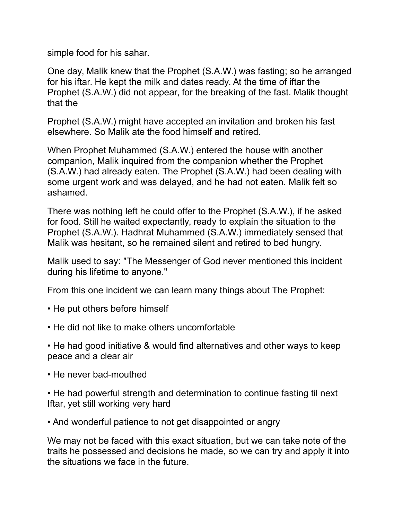simple food for his sahar.

One day, Malik knew that the Prophet (S.A.W.) was fasting; so he arranged for his iftar. He kept the milk and dates ready. At the time of iftar the Prophet (S.A.W.) did not appear, for the breaking of the fast. Malik thought that the

Prophet (S.A.W.) might have accepted an invitation and broken his fast elsewhere. So Malik ate the food himself and retired.

When Prophet Muhammed (S.A.W.) entered the house with another companion, Malik inquired from the companion whether the Prophet (S.A.W.) had already eaten. The Prophet (S.A.W.) had been dealing with some urgent work and was delayed, and he had not eaten. Malik felt so ashamed.

There was nothing left he could offer to the Prophet (S.A.W.), if he asked for food. Still he waited expectantly, ready to explain the situation to the Prophet (S.A.W.). Hadhrat Muhammed (S.A.W.) immediately sensed that Malik was hesitant, so he remained silent and retired to bed hungry.

Malik used to say: "The Messenger of God never mentioned this incident during his lifetime to anyone."

From this one incident we can learn many things about The Prophet:

- He put others before himself
- He did not like to make others uncomfortable
- He had good initiative & would find alternatives and other ways to keep peace and a clear air
- He never bad-mouthed

• He had powerful strength and determination to continue fasting til next Iftar, yet still working very hard

• And wonderful patience to not get disappointed or angry

We may not be faced with this exact situation, but we can take note of the traits he possessed and decisions he made, so we can try and apply it into the situations we face in the future.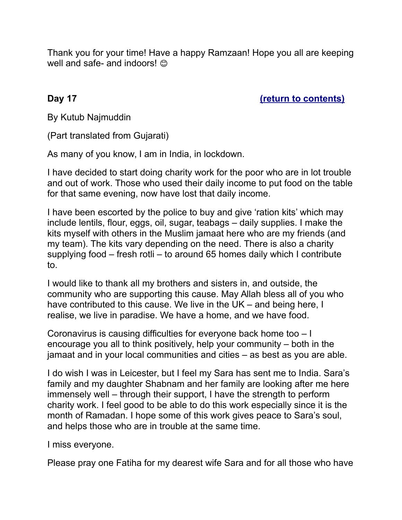Thank you for your time! Have a happy Ramzaan! Hope you all are keeping well and safe- and indoors!  $\odot$ 

<span id="page-22-0"></span>**Day 17** *[\(return to contents\)](#page-0-0)* 

By Kutub Najmuddin

(Part translated from Gujarati)

As many of you know, I am in India, in lockdown.

I have decided to start doing charity work for the poor who are in lot trouble and out of work. Those who used their daily income to put food on the table for that same evening, now have lost that daily income.

I have been escorted by the police to buy and give 'ration kits' which may include lentils, flour, eggs, oil, sugar, teabags – daily supplies. I make the kits myself with others in the Muslim jamaat here who are my friends (and my team). The kits vary depending on the need. There is also a charity supplying food – fresh rotli – to around 65 homes daily which I contribute to.

I would like to thank all my brothers and sisters in, and outside, the community who are supporting this cause. May Allah bless all of you who have contributed to this cause. We live in the UK – and being here, I realise, we live in paradise. We have a home, and we have food.

Coronavirus is causing difficulties for everyone back home too – I encourage you all to think positively, help your community – both in the jamaat and in your local communities and cities – as best as you are able.

I do wish I was in Leicester, but I feel my Sara has sent me to India. Sara's family and my daughter Shabnam and her family are looking after me here immensely well – through their support, I have the strength to perform charity work. I feel good to be able to do this work especially since it is the month of Ramadan. I hope some of this work gives peace to Sara's soul, and helps those who are in trouble at the same time.

I miss everyone.

Please pray one Fatiha for my dearest wife Sara and for all those who have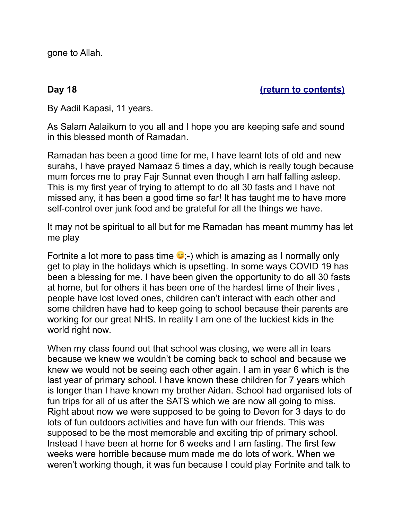<span id="page-23-0"></span>gone to Allah.

## **Day 18 [\(return to contents\)](#page-0-0)**

By Aadil Kapasi, 11 years.

As Salam Aalaikum to you all and I hope you are keeping safe and sound in this blessed month of Ramadan.

Ramadan has been a good time for me, I have learnt lots of old and new surahs, I have prayed Namaaz 5 times a day, which is really tough because mum forces me to pray Fajr Sunnat even though I am half falling asleep. This is my first year of trying to attempt to do all 30 fasts and I have not missed any, it has been a good time so far! It has taught me to have more self-control over junk food and be grateful for all the things we have.

It may not be spiritual to all but for me Ramadan has meant mummy has let me play

Fortnite a lot more to pass time  $\bullet$ ;-) which is amazing as I normally only get to play in the holidays which is upsetting. In some ways COVID 19 has been a blessing for me. I have been given the opportunity to do all 30 fasts at home, but for others it has been one of the hardest time of their lives , people have lost loved ones, children can't interact with each other and some children have had to keep going to school because their parents are working for our great NHS. In reality I am one of the luckiest kids in the world right now.

When my class found out that school was closing, we were all in tears because we knew we wouldn't be coming back to school and because we knew we would not be seeing each other again. I am in year 6 which is the last year of primary school. I have known these children for 7 years which is longer than I have known my brother Aidan. School had organised lots of fun trips for all of us after the SATS which we are now all going to miss. Right about now we were supposed to be going to Devon for 3 days to do lots of fun outdoors activities and have fun with our friends. This was supposed to be the most memorable and exciting trip of primary school. Instead I have been at home for 6 weeks and I am fasting. The first few weeks were horrible because mum made me do lots of work. When we weren't working though, it was fun because I could play Fortnite and talk to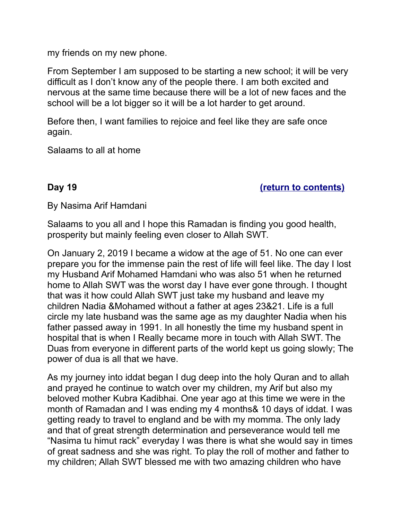my friends on my new phone.

From September I am supposed to be starting a new school; it will be very difficult as I don't know any of the people there. I am both excited and nervous at the same time because there will be a lot of new faces and the school will be a lot bigger so it will be a lot harder to get around.

Before then, I want families to rejoice and feel like they are safe once again.

<span id="page-24-0"></span>Salaams to all at home

**Day 19 [\(return to contents\)](#page-0-0)**

By Nasima Arif Hamdani

Salaams to you all and I hope this Ramadan is finding you good health, prosperity but mainly feeling even closer to Allah SWT.

On January 2, 2019 I became a widow at the age of 51. No one can ever prepare you for the immense pain the rest of life will feel like. The day I lost my Husband Arif Mohamed Hamdani who was also 51 when he returned home to Allah SWT was the worst day I have ever gone through. I thought that was it how could Allah SWT just take my husband and leave my children Nadia &Mohamed without a father at ages 23&21. Life is a full circle my late husband was the same age as my daughter Nadia when his father passed away in 1991. In all honestly the time my husband spent in hospital that is when I Really became more in touch with Allah SWT. The Duas from everyone in different parts of the world kept us going slowly; The power of dua is all that we have.

As my journey into iddat began I dug deep into the holy Quran and to allah and prayed he continue to watch over my children, my Arif but also my beloved mother Kubra Kadibhai. One year ago at this time we were in the month of Ramadan and I was ending my 4 months& 10 days of iddat. I was getting ready to travel to england and be with my momma. The only lady and that of great strength determination and perseverance would tell me "Nasima tu himut rack" everyday I was there is what she would say in times of great sadness and she was right. To play the roll of mother and father to my children; Allah SWT blessed me with two amazing children who have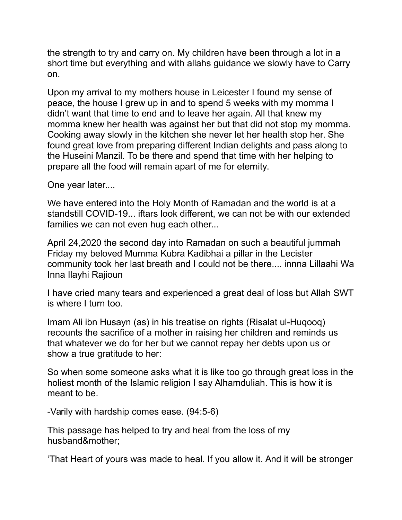the strength to try and carry on. My children have been through a lot in a short time but everything and with allahs guidance we slowly have to Carry on.

Upon my arrival to my mothers house in Leicester I found my sense of peace, the house I grew up in and to spend 5 weeks with my momma I didn't want that time to end and to leave her again. All that knew my momma knew her health was against her but that did not stop my momma. Cooking away slowly in the kitchen she never let her health stop her. She found great love from preparing different Indian delights and pass along to the Huseini Manzil. To be there and spend that time with her helping to prepare all the food will remain apart of me for eternity.

One year later....

We have entered into the Holy Month of Ramadan and the world is at a standstill COVID-19... iftars look different, we can not be with our extended families we can not even hug each other...

April 24,2020 the second day into Ramadan on such a beautiful jummah Friday my beloved Mumma Kubra Kadibhai a pillar in the Lecister community took her last breath and I could not be there.... innna Lillaahi Wa Inna Ilayhi Rajioun

I have cried many tears and experienced a great deal of loss but Allah SWT is where I turn too.

Imam Ali ibn Husayn (as) in his treatise on rights (Risalat ul-Huqooq) recounts the sacrifice of a mother in raising her children and reminds us that whatever we do for her but we cannot repay her debts upon us or show a true gratitude to her:

So when some someone asks what it is like too go through great loss in the holiest month of the Islamic religion I say Alhamduliah. This is how it is meant to be.

-Varily with hardship comes ease. (94:5-6)

This passage has helped to try and heal from the loss of my husband&mother;

'That Heart of yours was made to heal. If you allow it. And it will be stronger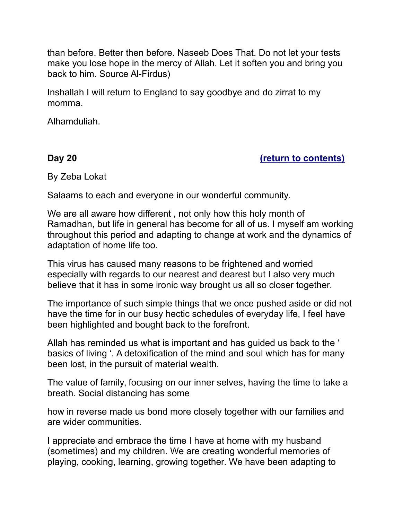than before. Better then before. Naseeb Does That. Do not let your tests make you lose hope in the mercy of Allah. Let it soften you and bring you back to him. Source Al-Firdus)

Inshallah I will return to England to say goodbye and do zirrat to my momma.

<span id="page-26-0"></span>Alhamduliah.

**Day 20 [\(return to contents\)](#page-0-0)**

By Zeba Lokat

Salaams to each and everyone in our wonderful community.

We are all aware how different , not only how this holy month of Ramadhan, but life in general has become for all of us. I myself am working throughout this period and adapting to change at work and the dynamics of adaptation of home life too.

This virus has caused many reasons to be frightened and worried especially with regards to our nearest and dearest but I also very much believe that it has in some ironic way brought us all so closer together.

The importance of such simple things that we once pushed aside or did not have the time for in our busy hectic schedules of everyday life, I feel have been highlighted and bought back to the forefront.

Allah has reminded us what is important and has guided us back to the ' basics of living '. A detoxification of the mind and soul which has for many been lost, in the pursuit of material wealth.

The value of family, focusing on our inner selves, having the time to take a breath. Social distancing has some

how in reverse made us bond more closely together with our families and are wider communities.

I appreciate and embrace the time I have at home with my husband (sometimes) and my children. We are creating wonderful memories of playing, cooking, learning, growing together. We have been adapting to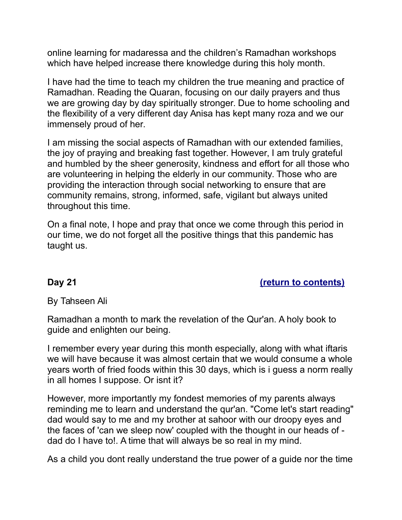online learning for madaressa and the children's Ramadhan workshops which have helped increase there knowledge during this holy month.

I have had the time to teach my children the true meaning and practice of Ramadhan. Reading the Quaran, focusing on our daily prayers and thus we are growing day by day spiritually stronger. Due to home schooling and the flexibility of a very different day Anisa has kept many roza and we our immensely proud of her.

I am missing the social aspects of Ramadhan with our extended families, the joy of praying and breaking fast together. However, I am truly grateful and humbled by the sheer generosity, kindness and effort for all those who are volunteering in helping the elderly in our community. Those who are providing the interaction through social networking to ensure that are community remains, strong, informed, safe, vigilant but always united throughout this time.

On a final note, I hope and pray that once we come through this period in our time, we do not forget all the positive things that this pandemic has taught us.

### <span id="page-27-0"></span>**Day 21** *[\(return to contents\)](#page-0-0)*

By Tahseen Ali

Ramadhan a month to mark the revelation of the Qur'an. A holy book to guide and enlighten our being.

I remember every year during this month especially, along with what iftaris we will have because it was almost certain that we would consume a whole years worth of fried foods within this 30 days, which is i guess a norm really in all homes I suppose. Or isnt it?

However, more importantly my fondest memories of my parents always reminding me to learn and understand the qur'an. "Come let's start reading" dad would say to me and my brother at sahoor with our droopy eyes and the faces of 'can we sleep now' coupled with the thought in our heads of dad do I have to!. A time that will always be so real in my mind.

As a child you dont really understand the true power of a guide nor the time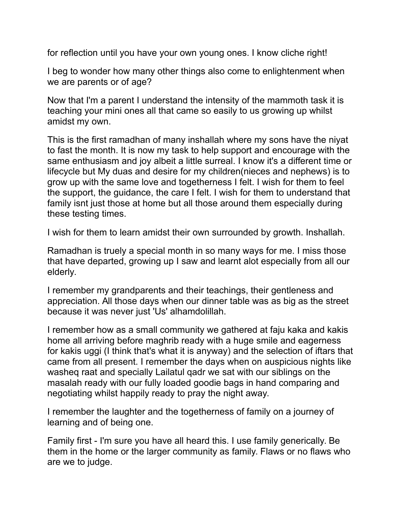for reflection until you have your own young ones. I know cliche right!

I beg to wonder how many other things also come to enlightenment when we are parents or of age?

Now that I'm a parent I understand the intensity of the mammoth task it is teaching your mini ones all that came so easily to us growing up whilst amidst my own.

This is the first ramadhan of many inshallah where my sons have the niyat to fast the month. It is now my task to help support and encourage with the same enthusiasm and joy albeit a little surreal. I know it's a different time or lifecycle but My duas and desire for my children(nieces and nephews) is to grow up with the same love and togetherness I felt. I wish for them to feel the support, the guidance, the care I felt. I wish for them to understand that family isnt just those at home but all those around them especially during these testing times.

I wish for them to learn amidst their own surrounded by growth. Inshallah.

Ramadhan is truely a special month in so many ways for me. I miss those that have departed, growing up I saw and learnt alot especially from all our elderly.

I remember my grandparents and their teachings, their gentleness and appreciation. All those days when our dinner table was as big as the street because it was never just 'Us' alhamdolillah.

I remember how as a small community we gathered at faju kaka and kakis home all arriving before maghrib ready with a huge smile and eagerness for kakis uggi (I think that's what it is anyway) and the selection of iftars that came from all present. I remember the days when on auspicious nights like washeq raat and specially Lailatul qadr we sat with our siblings on the masalah ready with our fully loaded goodie bags in hand comparing and negotiating whilst happily ready to pray the night away.

I remember the laughter and the togetherness of family on a journey of learning and of being one.

Family first - I'm sure you have all heard this. I use family generically. Be them in the home or the larger community as family. Flaws or no flaws who are we to judge.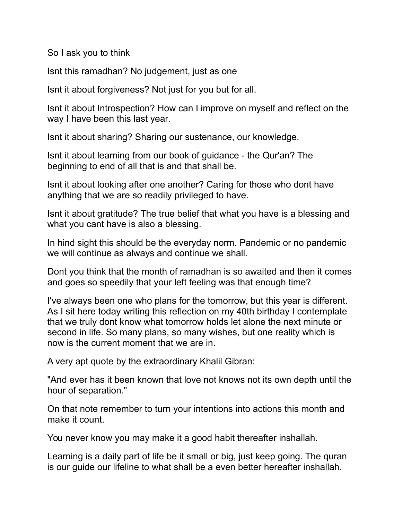So I ask you to think

Isnt this ramadhan? No judgement, just as one

Isnt it about forgiveness? Not just for you but for all.

Isnt it about Introspection? How can I improve on myself and reflect on the way I have been this last year.

Isnt it about sharing? Sharing our sustenance, our knowledge.

Isnt it about learning from our book of guidance - the Qur'an? The beginning to end of all that is and that shall be.

Isnt it about looking after one another? Caring for those who dont have anything that we are so readily privileged to have.

Isnt it about gratitude? The true belief that what you have is a blessing and what you cant have is also a blessing.

In hind sight this should be the everyday norm. Pandemic or no pandemic we will continue as always and continue we shall.

Dont you think that the month of ramadhan is so awaited and then it comes and goes so speedily that your left feeling was that enough time?

I've always been one who plans for the tomorrow, but this year is different. As I sit here today writing this reflection on my 40th birthday I contemplate that we truly dont know what tomorrow holds let alone the next minute or second in life. So many plans, so many wishes, but one reality which is now is the current moment that we are in.

A very apt quote by the extraordinary Khalil Gibran:

"And ever has it been known that love not knows not its own depth until the hour of separation."

On that note remember to turn your intentions into actions this month and make it count.

You never know you may make it a good habit thereafter inshallah.

Learning is a daily part of life be it small or big, just keep going. The quran is our guide our lifeline to what shall be a even better hereafter inshallah.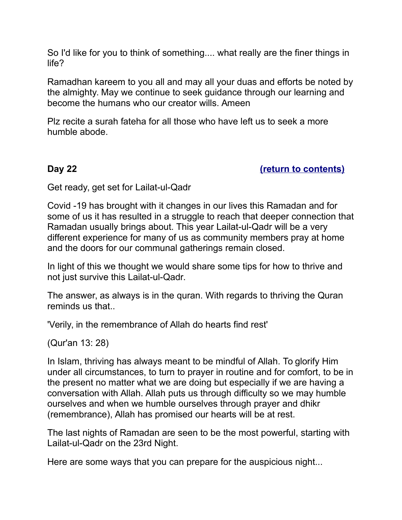So I'd like for you to think of something.... what really are the finer things in life?

Ramadhan kareem to you all and may all your duas and efforts be noted by the almighty. May we continue to seek guidance through our learning and become the humans who our creator wills. Ameen

Plz recite a surah fateha for all those who have left us to seek a more humble abode.

<span id="page-30-0"></span>**Day 22 [\(return to contents\)](#page-0-0)**

Get ready, get set for Lailat-ul-Qadr

Covid -19 has brought with it changes in our lives this Ramadan and for some of us it has resulted in a struggle to reach that deeper connection that Ramadan usually brings about. This year Lailat-ul-Qadr will be a very different experience for many of us as community members pray at home and the doors for our communal gatherings remain closed.

In light of this we thought we would share some tips for how to thrive and not just survive this Lailat-ul-Qadr.

The answer, as always is in the quran. With regards to thriving the Quran reminds us that..

'Verily, in the remembrance of Allah do hearts find rest'

(Qur'an 13: 28)

In Islam, thriving has always meant to be mindful of Allah. To glorify Him under all circumstances, to turn to prayer in routine and for comfort, to be in the present no matter what we are doing but especially if we are having a conversation with Allah. Allah puts us through difficulty so we may humble ourselves and when we humble ourselves through prayer and dhikr (remembrance), Allah has promised our hearts will be at rest.

The last nights of Ramadan are seen to be the most powerful, starting with Lailat-ul-Qadr on the 23rd Night.

Here are some ways that you can prepare for the auspicious night...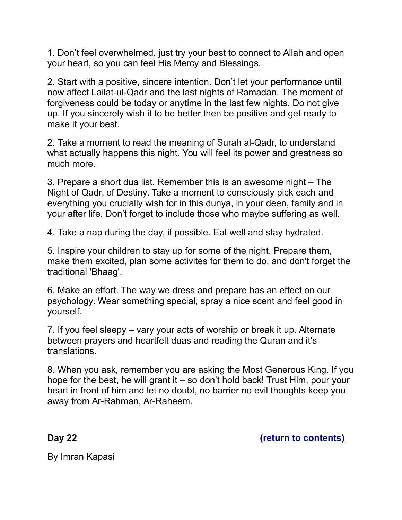1. Don't feel overwhelmed, just try your best to connect to Allah and open your heart, so you can feel His Mercy and Blessings.

2. Start with a positive, sincere intention. Don't let your performance until now affect Lailat-ul-Qadr and the last nights of Ramadan. The moment of forgiveness could be today or anytime in the last few nights. Do not give up. If you sincerely wish it to be better then be positive and get ready to make it your best.

2. Take a moment to read the meaning of Surah al-Qadr, to understand what actually happens this night. You will feel its power and greatness so much more.

3. Prepare a short dua list. Remember this is an awesome night – The Night of Qadr, of Destiny. Take a moment to consciously pick each and everything you crucially wish for in this dunya, in your deen, family and in your after life. Don't forget to include those who maybe suffering as well.

4. Take a nap during the day, if possible. Eat well and stay hydrated.

5. Inspire your children to stay up for some of the night. Prepare them, make them excited, plan some activites for them to do, and don't forget the traditional 'Bhaag'.

6. Make an effort. The way we dress and prepare has an effect on our psychology. Wear something special, spray a nice scent and feel good in yourself.

7. If you feel sleepy – vary your acts of worship or break it up. Alternate between prayers and heartfelt duas and reading the Quran and it's translations.

8. When you ask, remember you are asking the Most Generous King. If you hope for the best, he will grant it – so don't hold back! Trust Him, pour your heart in front of him and let no doubt, no barrier no evil thoughts keep you away from Ar-Rahman, Ar-Raheem.

<span id="page-31-0"></span>**Day 22 [\(return to contents\)](#page-0-0)**

By Imran Kapasi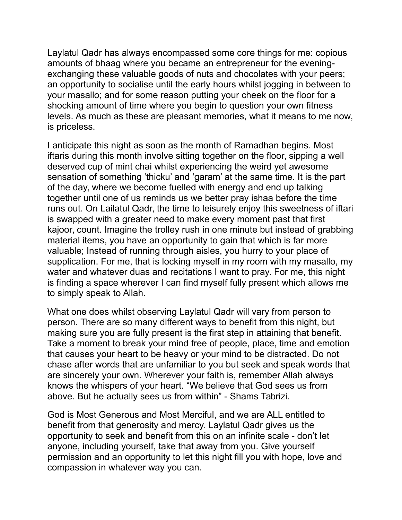Laylatul Qadr has always encompassed some core things for me: copious amounts of bhaag where you became an entrepreneur for the eveningexchanging these valuable goods of nuts and chocolates with your peers; an opportunity to socialise until the early hours whilst jogging in between to your masallo; and for some reason putting your cheek on the floor for a shocking amount of time where you begin to question your own fitness levels. As much as these are pleasant memories, what it means to me now, is priceless.

I anticipate this night as soon as the month of Ramadhan begins. Most iftaris during this month involve sitting together on the floor, sipping a well deserved cup of mint chai whilst experiencing the weird yet awesome sensation of something 'thicku' and 'garam' at the same time. It is the part of the day, where we become fuelled with energy and end up talking together until one of us reminds us we better pray ishaa before the time runs out. On Lailatul Qadr, the time to leisurely enjoy this sweetness of iftari is swapped with a greater need to make every moment past that first kajoor, count. Imagine the trolley rush in one minute but instead of grabbing material items, you have an opportunity to gain that which is far more valuable; Instead of running through aisles, you hurry to your place of supplication. For me, that is locking myself in my room with my masallo, my water and whatever duas and recitations I want to pray. For me, this night is finding a space wherever I can find myself fully present which allows me to simply speak to Allah.

What one does whilst observing Laylatul Qadr will vary from person to person. There are so many different ways to benefit from this night, but making sure you are fully present is the first step in attaining that benefit. Take a moment to break your mind free of people, place, time and emotion that causes your heart to be heavy or your mind to be distracted. Do not chase after words that are unfamiliar to you but seek and speak words that are sincerely your own. Wherever your faith is, remember Allah always knows the whispers of your heart. "We believe that God sees us from above. But he actually sees us from within" - Shams Tabrizi.

God is Most Generous and Most Merciful, and we are ALL entitled to benefit from that generosity and mercy. Laylatul Qadr gives us the opportunity to seek and benefit from this on an infinite scale - don't let anyone, including yourself, take that away from you. Give yourself permission and an opportunity to let this night fill you with hope, love and compassion in whatever way you can.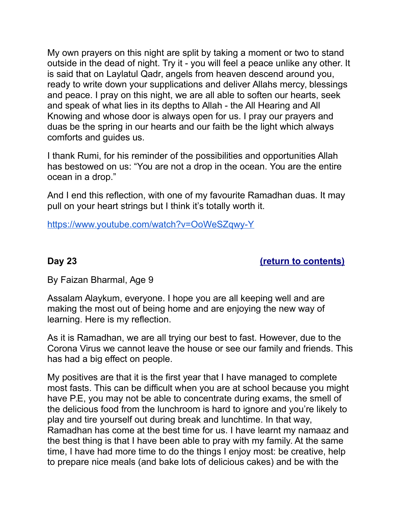My own prayers on this night are split by taking a moment or two to stand outside in the dead of night. Try it - you will feel a peace unlike any other. It is said that on Laylatul Qadr, angels from heaven descend around you, ready to write down your supplications and deliver Allahs mercy, blessings and peace. I pray on this night, we are all able to soften our hearts, seek and speak of what lies in its depths to Allah - the All Hearing and All Knowing and whose door is always open for us. I pray our prayers and duas be the spring in our hearts and our faith be the light which always comforts and guides us.

I thank Rumi, for his reminder of the possibilities and opportunities Allah has bestowed on us: "You are not a drop in the ocean. You are the entire ocean in a drop."

And I end this reflection, with one of my favourite Ramadhan duas. It may pull on your heart strings but I think it's totally worth it.

<span id="page-33-0"></span>[https://www.youtube.com/watch?v=OoWeSZqwy-Y](https://l.facebook.com/l.php?u=https%3A%2F%2Fwww.youtube.com%2Fwatch%3Fv%3DOoWeSZqwy-Y&h=AT1x_lO0drZg_RPIAdsKNW8ErAXxN5rdXEaq1Tv_D-uhe3ESKeFUHCZ-DtGzKYyZ_8C2PZqi45XFB4T2h1kjq6A93Q8uB2yt6JVxE0zjjB5c7duNqJbQpl7TpEeGfOX6fxPo4dTvqFSFxzDN5IqLq8nI2YFqlBgcqmAsRrtYUBpxYf4D8S831-PhhyPovzP4Vqduk96rxPu8uhbUSjUybPMG32frD3jLvz_jfAZ_sWcfcDipJ-Zdg9WgMXMPFNtieZeM-I-y5cVd2vC0GJlMeBo59J4jPZL3VUm8eweNbn_fnCy1ka9MOCU0f9L2rt_qux5lpAAZmQ5dV5L1QhwztePovyP_l409EnJ7hdAX2ReUwCUj5nzvjctE1AHVg6BEZ5iIoUUDcxnahLyuXk9sbWou0ip_gQkPCErOHXfMW9WnQJKbcOToN8i7LnW3Gt0_MIcQClxN-5jT-ai5yBStv-m3YR4OHwir1CzVMqc8PK__0dHnHvYh5D9VWfrB6VEjnG5Tu1nJKAR5bimVMaqCNeoUgyQMKHM3lSjcCBmujwClBnWHjYzukj5DGtjHREqp7XReKVX5F9FD05UBhf7w8O8DaN1dPvzPRLzgj_MHeBZ4flB4VtL88T54tDFxkfuQWqeJu3ct5LxO-NI2VW_GtAzcsyUoSmY6vLz-BBel)

**Day 23 [\(return to contents\)](#page-0-0)**

By Faizan Bharmal, Age 9

Assalam Alaykum, everyone. I hope you are all keeping well and are making the most out of being home and are enjoying the new way of learning. Here is my reflection.

As it is Ramadhan, we are all trying our best to fast. However, due to the Corona Virus we cannot leave the house or see our family and friends. This has had a big effect on people.

My positives are that it is the first year that I have managed to complete most fasts. This can be difficult when you are at school because you might have P.E, you may not be able to concentrate during exams, the smell of the delicious food from the lunchroom is hard to ignore and you're likely to play and tire yourself out during break and lunchtime. In that way, Ramadhan has come at the best time for us. I have learnt my namaaz and the best thing is that I have been able to pray with my family. At the same time, I have had more time to do the things I enjoy most: be creative, help to prepare nice meals (and bake lots of delicious cakes) and be with the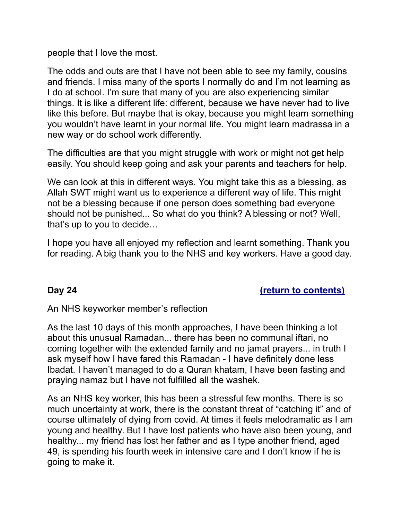people that I love the most.

The odds and outs are that I have not been able to see my family, cousins and friends. I miss many of the sports I normally do and I'm not learning as I do at school. I'm sure that many of you are also experiencing similar things. It is like a different life: different, because we have never had to live like this before. But maybe that is okay, because you might learn something you wouldn't have learnt in your normal life. You might learn madrassa in a new way or do school work differently.

The difficulties are that you might struggle with work or might not get help easily. You should keep going and ask your parents and teachers for help.

We can look at this in different ways. You might take this as a blessing, as Allah SWT might want us to experience a different way of life. This might not be a blessing because if one person does something bad everyone should not be punished... So what do you think? A blessing or not? Well, that's up to you to decide…

I hope you have all enjoyed my reflection and learnt something. Thank you for reading. A big thank you to the NHS and key workers. Have a good day.

# <span id="page-34-0"></span>**Day 24 [\(return to contents\)](#page-0-0)**

An NHS keyworker member's reflection

As the last 10 days of this month approaches, I have been thinking a lot about this unusual Ramadan... there has been no communal iftari, no coming together with the extended family and no jamat prayers... in truth I ask myself how I have fared this Ramadan - I have definitely done less Ibadat. I haven't managed to do a Quran khatam, I have been fasting and praying namaz but I have not fulfilled all the washek.

As an NHS key worker, this has been a stressful few months. There is so much uncertainty at work, there is the constant threat of "catching it" and of course ultimately of dying from covid. At times it feels melodramatic as I am young and healthy. But I have lost patients who have also been young, and healthy... my friend has lost her father and as I type another friend, aged 49, is spending his fourth week in intensive care and I don't know if he is going to make it.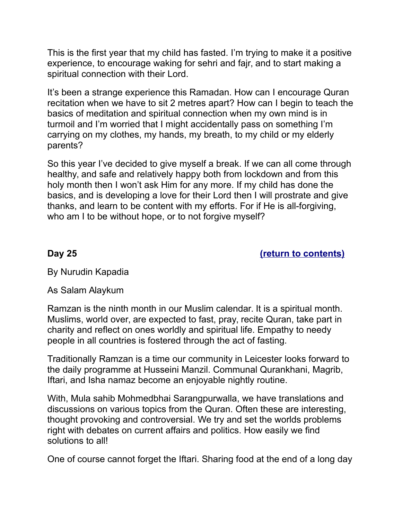This is the first year that my child has fasted. I'm trying to make it a positive experience, to encourage waking for sehri and fajr, and to start making a spiritual connection with their Lord.

It's been a strange experience this Ramadan. How can I encourage Quran recitation when we have to sit 2 metres apart? How can I begin to teach the basics of meditation and spiritual connection when my own mind is in turmoil and I'm worried that I might accidentally pass on something I'm carrying on my clothes, my hands, my breath, to my child or my elderly parents?

So this year I've decided to give myself a break. If we can all come through healthy, and safe and relatively happy both from lockdown and from this holy month then I won't ask Him for any more. If my child has done the basics, and is developing a love for their Lord then I will prostrate and give thanks, and learn to be content with my efforts. For if He is all-forgiving, who am I to be without hope, or to not forgive myself?

<span id="page-35-0"></span>**Day 25 [\(return to contents\)](#page-0-0)**

By Nurudin Kapadia

As Salam Alaykum

Ramzan is the ninth month in our Muslim calendar. It is a spiritual month. Muslims, world over, are expected to fast, pray, recite Quran, take part in charity and reflect on ones worldly and spiritual life. Empathy to needy people in all countries is fostered through the act of fasting.

Traditionally Ramzan is a time our community in Leicester looks forward to the daily programme at Husseini Manzil. Communal Qurankhani, Magrib, Iftari, and Isha namaz become an enjoyable nightly routine.

With, Mula sahib Mohmedbhai Sarangpurwalla, we have translations and discussions on various topics from the Quran. Often these are interesting, thought provoking and controversial. We try and set the worlds problems right with debates on current affairs and politics. How easily we find solutions to all!

One of course cannot forget the Iftari. Sharing food at the end of a long day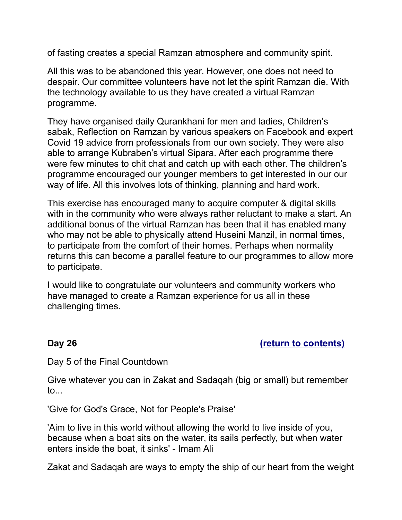of fasting creates a special Ramzan atmosphere and community spirit.

All this was to be abandoned this year. However, one does not need to despair. Our committee volunteers have not let the spirit Ramzan die. With the technology available to us they have created a virtual Ramzan programme.

They have organised daily Qurankhani for men and ladies, Children's sabak, Reflection on Ramzan by various speakers on Facebook and expert Covid 19 advice from professionals from our own society. They were also able to arrange Kubraben's virtual Sipara. After each programme there were few minutes to chit chat and catch up with each other. The children's programme encouraged our younger members to get interested in our our way of life. All this involves lots of thinking, planning and hard work.

This exercise has encouraged many to acquire computer & digital skills with in the community who were always rather reluctant to make a start. An additional bonus of the virtual Ramzan has been that it has enabled many who may not be able to physically attend Huseini Manzil, in normal times, to participate from the comfort of their homes. Perhaps when normality returns this can become a parallel feature to our programmes to allow more to participate.

I would like to congratulate our volunteers and community workers who have managed to create a Ramzan experience for us all in these challenging times.

# <span id="page-36-0"></span>**Day 26 [\(return to contents\)](#page-0-0)**

Day 5 of the Final Countdown

Give whatever you can in Zakat and Sadaqah (big or small) but remember to...

'Give for God's Grace, Not for People's Praise'

'Aim to live in this world without allowing the world to live inside of you, because when a boat sits on the water, its sails perfectly, but when water enters inside the boat, it sinks' - Imam Ali

Zakat and Sadaqah are ways to empty the ship of our heart from the weight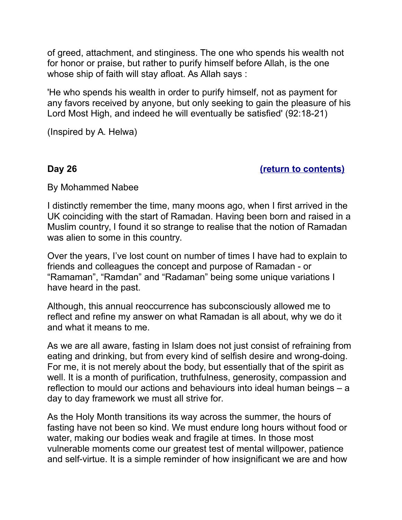of greed, attachment, and stinginess. The one who spends his wealth not for honor or praise, but rather to purify himself before Allah, is the one whose ship of faith will stay afloat. As Allah says :

'He who spends his wealth in order to purify himself, not as payment for any favors received by anyone, but only seeking to gain the pleasure of his Lord Most High, and indeed he will eventually be satisfied' (92:18-21)

<span id="page-37-0"></span>(Inspired by A. Helwa)

### **Day 26 [\(return to contents\)](#page-0-0)**

By Mohammed Nabee

I distinctly remember the time, many moons ago, when I first arrived in the UK coinciding with the start of Ramadan. Having been born and raised in a Muslim country, I found it so strange to realise that the notion of Ramadan was alien to some in this country.

Over the years, I've lost count on number of times I have had to explain to friends and colleagues the concept and purpose of Ramadan - or "Ramaman", "Ramdan" and "Radaman" being some unique variations I have heard in the past.

Although, this annual reoccurrence has subconsciously allowed me to reflect and refine my answer on what Ramadan is all about, why we do it and what it means to me.

As we are all aware, fasting in Islam does not just consist of refraining from eating and drinking, but from every kind of selfish desire and wrong-doing. For me, it is not merely about the body, but essentially that of the spirit as well. It is a month of purification, truthfulness, generosity, compassion and reflection to mould our actions and behaviours into ideal human beings – a day to day framework we must all strive for.

As the Holy Month transitions its way across the summer, the hours of fasting have not been so kind. We must endure long hours without food or water, making our bodies weak and fragile at times. In those most vulnerable moments come our greatest test of mental willpower, patience and self-virtue. It is a simple reminder of how insignificant we are and how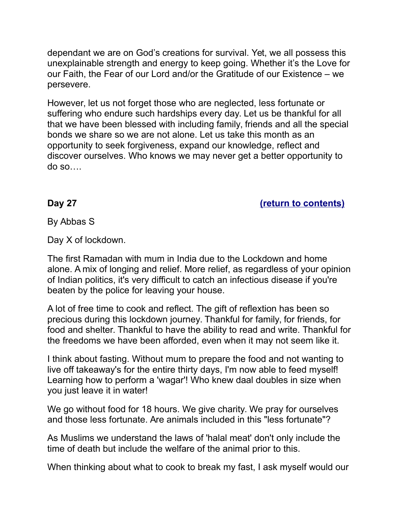dependant we are on God's creations for survival. Yet, we all possess this unexplainable strength and energy to keep going. Whether it's the Love for our Faith, the Fear of our Lord and/or the Gratitude of our Existence – we persevere.

However, let us not forget those who are neglected, less fortunate or suffering who endure such hardships every day. Let us be thankful for all that we have been blessed with including family, friends and all the special bonds we share so we are not alone. Let us take this month as an opportunity to seek forgiveness, expand our knowledge, reflect and discover ourselves. Who knows we may never get a better opportunity to do so….

<span id="page-38-0"></span>**Day 27 [\(return to contents\)](#page-0-0)**

By Abbas S

Day X of lockdown.

The first Ramadan with mum in India due to the Lockdown and home alone. A mix of longing and relief. More relief, as regardless of your opinion of Indian politics, it's very difficult to catch an infectious disease if you're beaten by the police for leaving your house.

A lot of free time to cook and reflect. The gift of reflextion has been so precious during this lockdown journey. Thankful for family, for friends, for food and shelter. Thankful to have the ability to read and write. Thankful for the freedoms we have been afforded, even when it may not seem like it.

I think about fasting. Without mum to prepare the food and not wanting to live off takeaway's for the entire thirty days, I'm now able to feed myself! Learning how to perform a 'wagar'! Who knew daal doubles in size when you just leave it in water!

We go without food for 18 hours. We give charity. We pray for ourselves and those less fortunate. Are animals included in this "less fortunate"?

As Muslims we understand the laws of 'halal meat' don't only include the time of death but include the welfare of the animal prior to this.

When thinking about what to cook to break my fast, I ask myself would our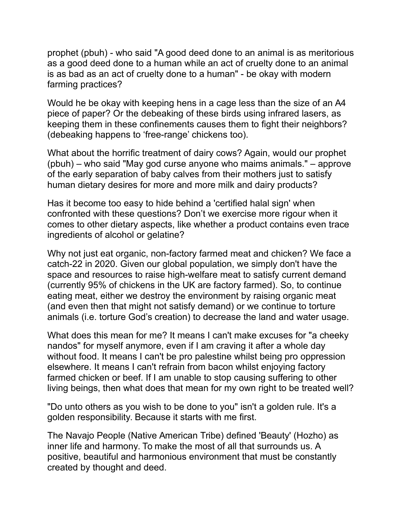prophet (pbuh) - who said "A good deed done to an animal is as meritorious as a good deed done to a human while an act of cruelty done to an animal is as bad as an act of cruelty done to a human" - be okay with modern farming practices?

Would he be okay with keeping hens in a cage less than the size of an A4 piece of paper? Or the debeaking of these birds using infrared lasers, as keeping them in these confinements causes them to fight their neighbors? (debeaking happens to 'free-range' chickens too).

What about the horrific treatment of dairy cows? Again, would our prophet (pbuh) – who said "May god curse anyone who maims animals." – approve of the early separation of baby calves from their mothers just to satisfy human dietary desires for more and more milk and dairy products?

Has it become too easy to hide behind a 'certified halal sign' when confronted with these questions? Don't we exercise more rigour when it comes to other dietary aspects, like whether a product contains even trace ingredients of alcohol or gelatine?

Why not just eat organic, non-factory farmed meat and chicken? We face a catch-22 in 2020. Given our global population, we simply don't have the space and resources to raise high-welfare meat to satisfy current demand (currently 95% of chickens in the UK are factory farmed). So, to continue eating meat, either we destroy the environment by raising organic meat (and even then that might not satisfy demand) or we continue to torture animals (i.e. torture God's creation) to decrease the land and water usage.

What does this mean for me? It means I can't make excuses for "a cheeky nandos" for myself anymore, even if I am craving it after a whole day without food. It means I can't be pro palestine whilst being pro oppression elsewhere. It means I can't refrain from bacon whilst enjoying factory farmed chicken or beef. If I am unable to stop causing suffering to other living beings, then what does that mean for my own right to be treated well?

"Do unto others as you wish to be done to you" isn't a golden rule. It's a golden responsibility. Because it starts with me first.

The Navajo People (Native American Tribe) defined 'Beauty' (Hozho) as inner life and harmony. To make the most of all that surrounds us. A positive, beautiful and harmonious environment that must be constantly created by thought and deed.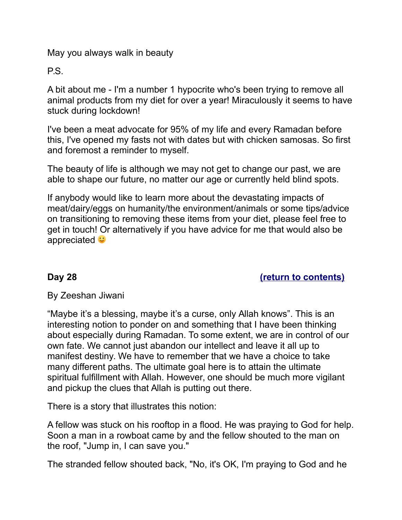May you always walk in beauty

P.S.

A bit about me - I'm a number 1 hypocrite who's been trying to remove all animal products from my diet for over a year! Miraculously it seems to have stuck during lockdown!

I've been a meat advocate for 95% of my life and every Ramadan before this, I've opened my fasts not with dates but with chicken samosas. So first and foremost a reminder to myself.

The beauty of life is although we may not get to change our past, we are able to shape our future, no matter our age or currently held blind spots.

If anybody would like to learn more about the devastating impacts of meat/dairy/eggs on humanity/the environment/animals or some tips/advice on transitioning to removing these items from your diet, please feel free to get in touch! Or alternatively if you have advice for me that would also be appreciated  $\bullet$ 

# <span id="page-40-0"></span>**Day 28 [\(return to contents\)](#page-0-0)**

# By Zeeshan Jiwani

"Maybe it's a blessing, maybe it's a curse, only Allah knows". This is an interesting notion to ponder on and something that I have been thinking about especially during Ramadan. To some extent, we are in control of our own fate. We cannot just abandon our intellect and leave it all up to manifest destiny. We have to remember that we have a choice to take many different paths. The ultimate goal here is to attain the ultimate spiritual fulfillment with Allah. However, one should be much more vigilant and pickup the clues that Allah is putting out there.

There is a story that illustrates this notion:

A fellow was stuck on his rooftop in a flood. He was praying to God for help. Soon a man in a rowboat came by and the fellow shouted to the man on the roof, "Jump in, I can save you."

The stranded fellow shouted back, "No, it's OK, I'm praying to God and he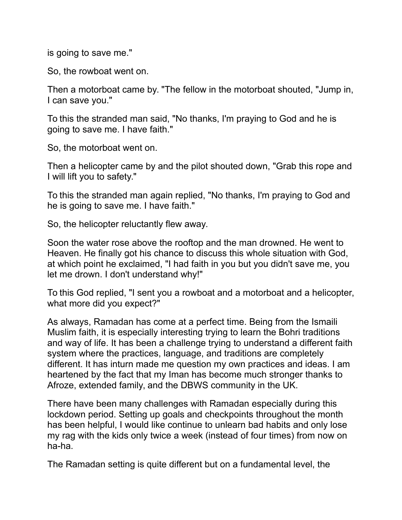is going to save me."

So, the rowboat went on.

Then a motorboat came by. "The fellow in the motorboat shouted, "Jump in, I can save you."

To this the stranded man said, "No thanks, I'm praying to God and he is going to save me. I have faith."

So, the motorboat went on.

Then a helicopter came by and the pilot shouted down, "Grab this rope and I will lift you to safety."

To this the stranded man again replied, "No thanks, I'm praying to God and he is going to save me. I have faith."

So, the helicopter reluctantly flew away.

Soon the water rose above the rooftop and the man drowned. He went to Heaven. He finally got his chance to discuss this whole situation with God, at which point he exclaimed, "I had faith in you but you didn't save me, you let me drown. I don't understand why!"

To this God replied, "I sent you a rowboat and a motorboat and a helicopter, what more did you expect?"

As always, Ramadan has come at a perfect time. Being from the Ismaili Muslim faith, it is especially interesting trying to learn the Bohri traditions and way of life. It has been a challenge trying to understand a different faith system where the practices, language, and traditions are completely different. It has inturn made me question my own practices and ideas. I am heartened by the fact that my Iman has become much stronger thanks to Afroze, extended family, and the DBWS community in the UK.

There have been many challenges with Ramadan especially during this lockdown period. Setting up goals and checkpoints throughout the month has been helpful, I would like continue to unlearn bad habits and only lose my rag with the kids only twice a week (instead of four times) from now on ha-ha.

The Ramadan setting is quite different but on a fundamental level, the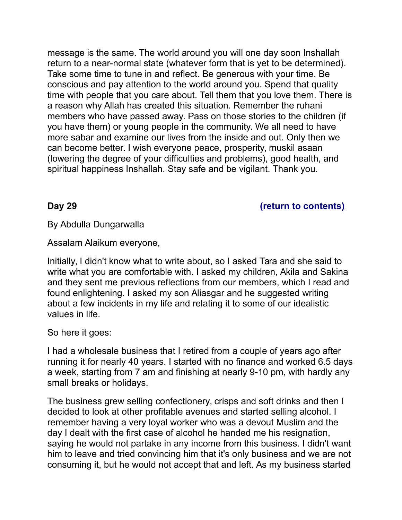message is the same. The world around you will one day soon Inshallah return to a near-normal state (whatever form that is yet to be determined). Take some time to tune in and reflect. Be generous with your time. Be conscious and pay attention to the world around you. Spend that quality time with people that you care about. Tell them that you love them. There is a reason why Allah has created this situation. Remember the ruhani members who have passed away. Pass on those stories to the children (if you have them) or young people in the community. We all need to have more sabar and examine our lives from the inside and out. Only then we can become better. I wish everyone peace, prosperity, muskil asaan (lowering the degree of your difficulties and problems), good health, and spiritual happiness Inshallah. Stay safe and be vigilant. Thank you.

### <span id="page-42-0"></span>**Day 29 [\(return to contents\)](#page-0-0)**

By Abdulla Dungarwalla

Assalam Alaikum everyone,

Initially, I didn't know what to write about, so I asked Tara and she said to write what you are comfortable with. I asked my children, Akila and Sakina and they sent me previous reflections from our members, which I read and found enlightening. I asked my son Aliasgar and he suggested writing about a few incidents in my life and relating it to some of our idealistic values in life.

So here it goes:

I had a wholesale business that I retired from a couple of years ago after running it for nearly 40 years. I started with no finance and worked 6.5 days a week, starting from 7 am and finishing at nearly 9-10 pm, with hardly any small breaks or holidays.

The business grew selling confectionery, crisps and soft drinks and then I decided to look at other profitable avenues and started selling alcohol. I remember having a very loyal worker who was a devout Muslim and the day I dealt with the first case of alcohol he handed me his resignation, saying he would not partake in any income from this business. I didn't want him to leave and tried convincing him that it's only business and we are not consuming it, but he would not accept that and left. As my business started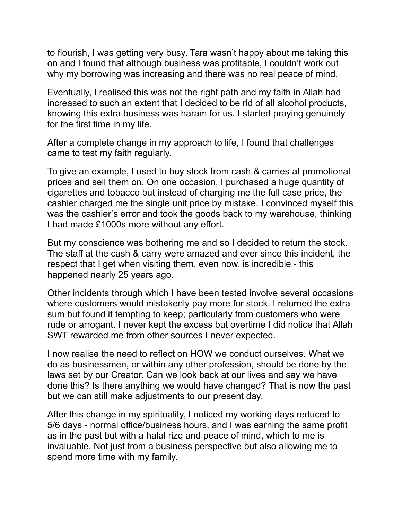to flourish, I was getting very busy. Tara wasn't happy about me taking this on and I found that although business was profitable, I couldn't work out why my borrowing was increasing and there was no real peace of mind.

Eventually, I realised this was not the right path and my faith in Allah had increased to such an extent that I decided to be rid of all alcohol products, knowing this extra business was haram for us. I started praying genuinely for the first time in my life.

After a complete change in my approach to life, I found that challenges came to test my faith regularly.

To give an example, I used to buy stock from cash & carries at promotional prices and sell them on. On one occasion, I purchased a huge quantity of cigarettes and tobacco but instead of charging me the full case price, the cashier charged me the single unit price by mistake. I convinced myself this was the cashier's error and took the goods back to my warehouse, thinking I had made £1000s more without any effort.

But my conscience was bothering me and so I decided to return the stock. The staff at the cash & carry were amazed and ever since this incident, the respect that I get when visiting them, even now, is incredible - this happened nearly 25 years ago.

Other incidents through which I have been tested involve several occasions where customers would mistakenly pay more for stock. I returned the extra sum but found it tempting to keep; particularly from customers who were rude or arrogant. I never kept the excess but overtime I did notice that Allah SWT rewarded me from other sources I never expected.

I now realise the need to reflect on HOW we conduct ourselves. What we do as businessmen, or within any other profession, should be done by the laws set by our Creator. Can we look back at our lives and say we have done this? Is there anything we would have changed? That is now the past but we can still make adjustments to our present day.

After this change in my spirituality, I noticed my working days reduced to 5/6 days - normal office/business hours, and I was earning the same profit as in the past but with a halal rizq and peace of mind, which to me is invaluable. Not just from a business perspective but also allowing me to spend more time with my family.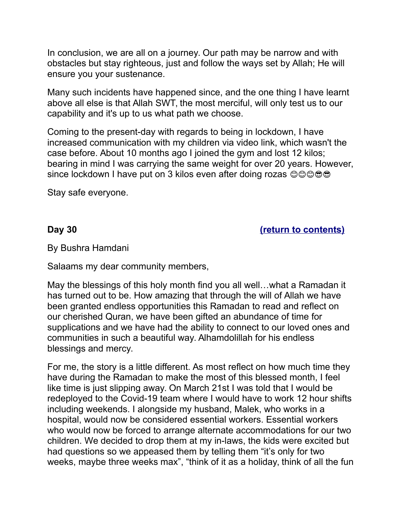In conclusion, we are all on a journey. Our path may be narrow and with obstacles but stay righteous, just and follow the ways set by Allah; He will ensure you your sustenance.

Many such incidents have happened since, and the one thing I have learnt above all else is that Allah SWT, the most merciful, will only test us to our capability and it's up to us what path we choose.

Coming to the present-day with regards to being in lockdown, I have increased communication with my children via video link, which wasn't the case before. About 10 months ago I joined the gym and lost 12 kilos; bearing in mind I was carrying the same weight for over 20 years. However, since lockdown I have put on 3 kilos even after doing rozas ©©©©

<span id="page-44-0"></span>Stay safe everyone.

**Day 30 [\(return to contents\)](#page-0-0)**

By Bushra Hamdani

Salaams my dear community members,

May the blessings of this holy month find you all well…what a Ramadan it has turned out to be. How amazing that through the will of Allah we have been granted endless opportunities this Ramadan to read and reflect on our cherished Quran, we have been gifted an abundance of time for supplications and we have had the ability to connect to our loved ones and communities in such a beautiful way. Alhamdolillah for his endless blessings and mercy.

For me, the story is a little different. As most reflect on how much time they have during the Ramadan to make the most of this blessed month, I feel like time is just slipping away. On March 21st I was told that I would be redeployed to the Covid-19 team where I would have to work 12 hour shifts including weekends. I alongside my husband, Malek, who works in a hospital, would now be considered essential workers. Essential workers who would now be forced to arrange alternate accommodations for our two children. We decided to drop them at my in-laws, the kids were excited but had questions so we appeased them by telling them "it's only for two weeks, maybe three weeks max", "think of it as a holiday, think of all the fun